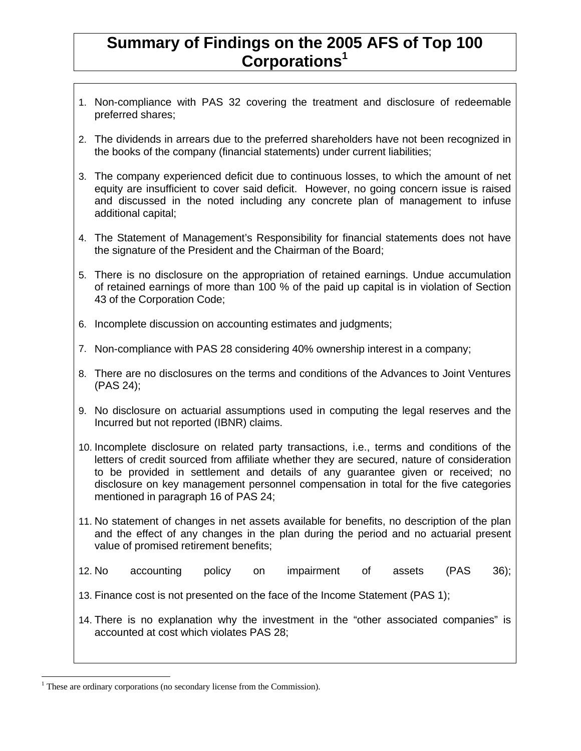## **Summary of Findings on the 2005 AFS of Top 100 Corporations<sup>1</sup>**

- 1. Non-compliance with PAS 32 covering the treatment and disclosure of redeemable preferred shares;
- 2. The dividends in arrears due to the preferred shareholders have not been recognized in the books of the company (financial statements) under current liabilities;
- 3. The company experienced deficit due to continuous losses, to which the amount of net equity are insufficient to cover said deficit. However, no going concern issue is raised and discussed in the noted including any concrete plan of management to infuse additional capital;
- 4. The Statement of Management's Responsibility for financial statements does not have the signature of the President and the Chairman of the Board;
- 5. There is no disclosure on the appropriation of retained earnings. Undue accumulation of retained earnings of more than 100 % of the paid up capital is in violation of Section 43 of the Corporation Code;
- 6. Incomplete discussion on accounting estimates and judgments;
- 7. Non-compliance with PAS 28 considering 40% ownership interest in a company;
- 8. There are no disclosures on the terms and conditions of the Advances to Joint Ventures (PAS 24);
- 9. No disclosure on actuarial assumptions used in computing the legal reserves and the Incurred but not reported (IBNR) claims.
- 10. Incomplete disclosure on related party transactions, i.e., terms and conditions of the letters of credit sourced from affiliate whether they are secured, nature of consideration to be provided in settlement and details of any guarantee given or received; no disclosure on key management personnel compensation in total for the five categories mentioned in paragraph 16 of PAS 24;
- 11. No statement of changes in net assets available for benefits, no description of the plan and the effect of any changes in the plan during the period and no actuarial present value of promised retirement benefits;
- 12. No accounting policy on impairment of assets (PAS 36);

13. Finance cost is not presented on the face of the Income Statement (PAS 1);

14. There is no explanation why the investment in the "other associated companies" is accounted at cost which violates PAS 28;

<sup>-</sup><sup>1</sup> These are ordinary corporations (no secondary license from the Commission).